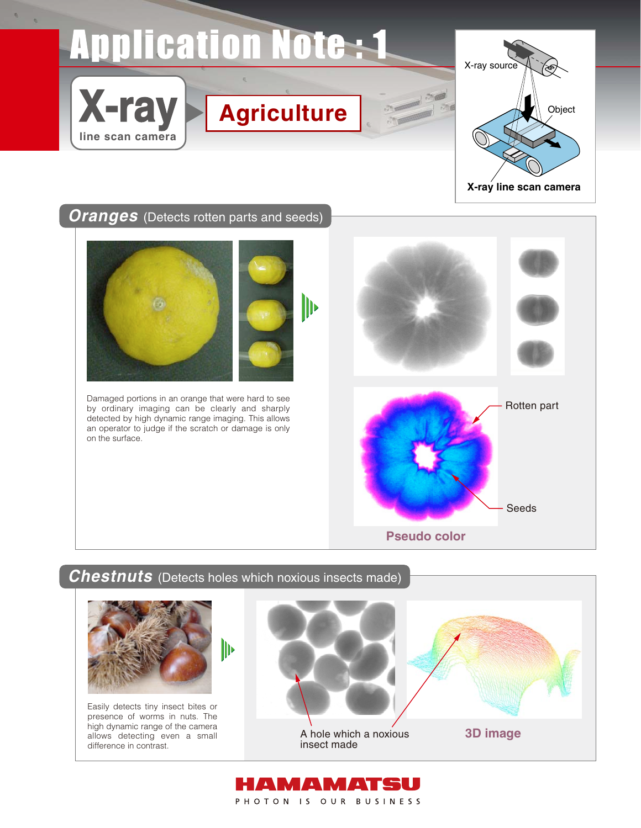# **Application Note: 1**



### **Oranges** (Detects rotten parts and seeds)

**X-ray**

**line scan camera**



Damaged portions in an orange that were hard to see by ordinary imaging can be clearly and sharply detected by high dynamic range imaging. This allows an operator to judge if the scratch or damage is only on the surface.



## **Chestnuts** (Detects holes which noxious insects made)



Easily detects tiny insect bites or presence of worms in nuts. The high dynamic range of the camera allows detecting even a small difference in contrast.